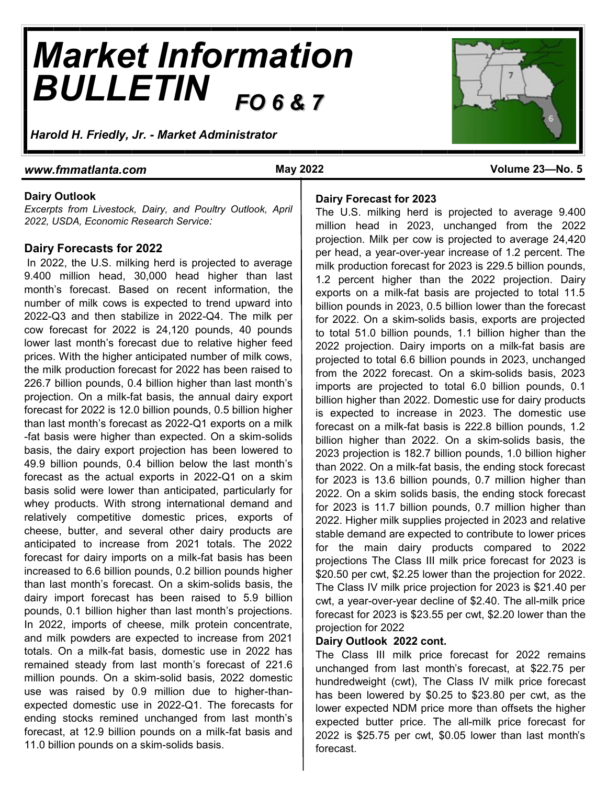# *Market Information BULLETIN FO 6 & 7*

*Harold H. Friedly, Jr. - Market Administrator*

#### *www.fmmatlanta.com* **May 2022 Volume 23—No. 5**

#### **Dairy Outlook**

*Excerpts from Livestock, Dairy, and Poultry Outlook, April 2022, USDA, Economic Research Service:*

#### **Dairy Forecasts for 2022**

In 2022, the U.S. milking herd is projected to average 9.400 million head, 30,000 head higher than last month's forecast. Based on recent information, the number of milk cows is expected to trend upward into 2022-Q3 and then stabilize in 2022-Q4. The milk per cow forecast for 2022 is 24,120 pounds, 40 pounds lower last month's forecast due to relative higher feed prices. With the higher anticipated number of milk cows, the milk production forecast for 2022 has been raised to 226.7 billion pounds, 0.4 billion higher than last month's projection. On a milk-fat basis, the annual dairy export forecast for 2022 is 12.0 billion pounds, 0.5 billion higher than last month's forecast as 2022-Q1 exports on a milk -fat basis were higher than expected. On a skim-solids basis, the dairy export projection has been lowered to 49.9 billion pounds, 0.4 billion below the last month's forecast as the actual exports in 2022-Q1 on a skim basis solid were lower than anticipated, particularly for whey products. With strong international demand and relatively competitive domestic prices, exports of cheese, butter, and several other dairy products are anticipated to increase from 2021 totals. The 2022 forecast for dairy imports on a milk-fat basis has been increased to 6.6 billion pounds, 0.2 billion pounds higher than last month's forecast. On a skim-solids basis, the dairy import forecast has been raised to 5.9 billion pounds, 0.1 billion higher than last month's projections. In 2022, imports of cheese, milk protein concentrate, and milk powders are expected to increase from 2021 totals. On a milk-fat basis, domestic use in 2022 has remained steady from last month's forecast of 221.6 million pounds. On a skim-solid basis, 2022 domestic use was raised by 0.9 million due to higher-thanexpected domestic use in 2022-Q1. The forecasts for ending stocks remined unchanged from last month's forecast, at 12.9 billion pounds on a milk-fat basis and 11.0 billion pounds on a skim-solids basis.



#### **Dairy Forecast for 2023**

The U.S. milking herd is projected to average 9.400 million head in 2023, unchanged from the 2022 projection. Milk per cow is projected to average 24,420 per head, a year-over-year increase of 1.2 percent. The milk production forecast for 2023 is 229.5 billion pounds, 1.2 percent higher than the 2022 projection. Dairy exports on a milk-fat basis are projected to total 11.5 billion pounds in 2023, 0.5 billion lower than the forecast for 2022. On a skim-solids basis, exports are projected to total 51.0 billion pounds, 1.1 billion higher than the 2022 projection. Dairy imports on a milk-fat basis are projected to total 6.6 billion pounds in 2023, unchanged from the 2022 forecast. On a skim-solids basis, 2023 imports are projected to total 6.0 billion pounds, 0.1 billion higher than 2022. Domestic use for dairy products is expected to increase in 2023. The domestic use forecast on a milk-fat basis is 222.8 billion pounds, 1.2 billion higher than 2022. On a skim-solids basis, the 2023 projection is 182.7 billion pounds, 1.0 billion higher than 2022. On a milk-fat basis, the ending stock forecast for 2023 is 13.6 billion pounds, 0.7 million higher than 2022. On a skim solids basis, the ending stock forecast for 2023 is 11.7 billion pounds, 0.7 million higher than 2022. Higher milk supplies projected in 2023 and relative stable demand are expected to contribute to lower prices for the main dairy products compared to 2022 projections The Class III milk price forecast for 2023 is \$20.50 per cwt, \$2.25 lower than the projection for 2022. The Class IV milk price projection for 2023 is \$21.40 per cwt, a year-over-year decline of \$2.40. The all-milk price forecast for 2023 is \$23.55 per cwt, \$2.20 lower than the projection for 2022

#### **Dairy Outlook 2022 cont.**

The Class III milk price forecast for 2022 remains unchanged from last month's forecast, at \$22.75 per hundredweight (cwt), The Class IV milk price forecast has been lowered by \$0.25 to \$23.80 per cwt, as the lower expected NDM price more than offsets the higher expected butter price. The all-milk price forecast for 2022 is \$25.75 per cwt, \$0.05 lower than last month's forecast.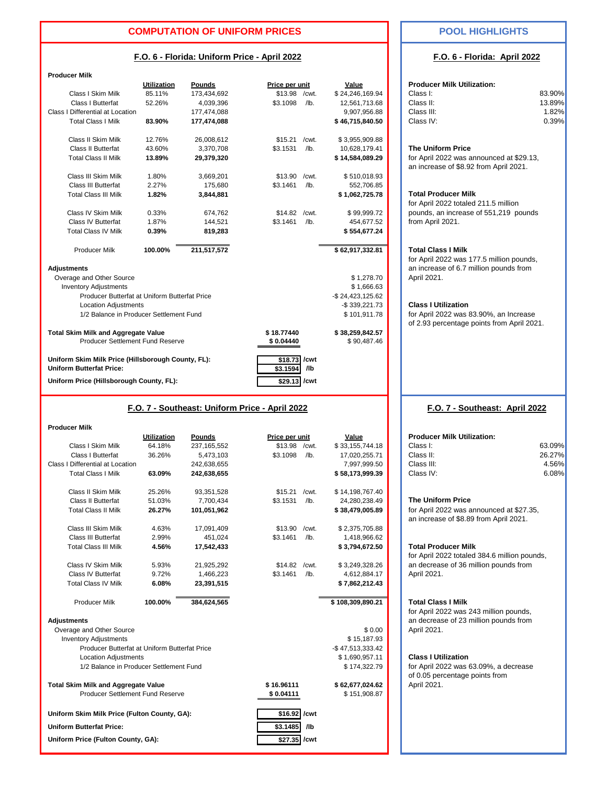#### **COMPUTATION OF UNIFORM PRICES POOL HIGHLIGHTS**

#### **F.O. 6 - Florida: Uniform Price - April 2022**

 $\sim$   $\sim$ 

| <b>Producer Milk</b>                                                                  |                    |             |                         |             |                                |                                                                                      |        |
|---------------------------------------------------------------------------------------|--------------------|-------------|-------------------------|-------------|--------------------------------|--------------------------------------------------------------------------------------|--------|
|                                                                                       | <b>Utilization</b> | Pounds      | Price per unit          |             | Value                          | <b>Producer Milk Utilization:</b>                                                    |        |
| Class I Skim Milk                                                                     | 85.11%             | 173,434,692 | \$13.98                 | /cwt.       | \$24,246,169.94                | Class I:                                                                             | 83.90% |
| Class I Butterfat                                                                     | 52.26%             | 4,039,396   | \$3.1098                | $/$ lb.     | 12,561,713.68                  | Class II:                                                                            | 13.89% |
| Class I Differential at Location                                                      |                    | 177,474,088 |                         |             | 9,907,956.88                   | Class III:                                                                           | 1.82%  |
| <b>Total Class I Milk</b>                                                             | 83.90%             | 177,474,088 |                         |             | \$46,715,840.50                | Class IV:                                                                            | 0.39%  |
| Class II Skim Milk                                                                    | 12.76%             | 26,008,612  | \$15.21                 | /cwt.       | \$3,955,909.88                 |                                                                                      |        |
| <b>Class II Butterfat</b>                                                             | 43.60%             | 3.370.708   | \$3.1531                | $/$ lb.     | 10,628,179.41                  | <b>The Uniform Price</b>                                                             |        |
| <b>Total Class II Milk</b>                                                            | 13.89%             | 29,379,320  |                         |             | \$14,584,089.29                | for April 2022 was announced at \$29.13,<br>an increase of \$8.92 from April 2021.   |        |
| Class III Skim Milk                                                                   | 1.80%              | 3,669,201   | \$13.90                 | /cwt.       | \$510,018.93                   |                                                                                      |        |
| Class III Butterfat                                                                   | 2.27%              | 175,680     | \$3.1461                | $/$ lb.     | 552,706.85                     |                                                                                      |        |
| <b>Total Class III Milk</b>                                                           | 1.82%              | 3,844,881   |                         |             | \$1,062,725.78                 | <b>Total Producer Milk</b><br>for April 2022 totaled 211.5 million                   |        |
| Class IV Skim Milk                                                                    | 0.33%              | 674,762     | \$14.82                 | /cwt.       | \$99,999.72                    | pounds, an increase of 551,219 pounds                                                |        |
| <b>Class IV Butterfat</b>                                                             | 1.87%              | 144,521     | \$3.1461                | $/$ lb.     | 454,677.52                     | from April 2021.                                                                     |        |
| <b>Total Class IV Milk</b>                                                            | 0.39%              | 819,283     |                         |             | \$554,677.24                   |                                                                                      |        |
| <b>Producer Milk</b>                                                                  | 100.00%            | 211,517,572 |                         |             | \$62,917,332.81                | <b>Total Class I Milk</b><br>for April 2022 was 177.5 million pounds,                |        |
| <b>Adjustments</b>                                                                    |                    |             |                         |             |                                | an increase of 6.7 million pounds from                                               |        |
| Overage and Other Source                                                              |                    |             |                         |             | \$1,278.70                     | April 2021.                                                                          |        |
| <b>Inventory Adjustments</b>                                                          |                    |             |                         |             | \$1,666.63                     |                                                                                      |        |
| Producer Butterfat at Uniform Butterfat Price                                         |                    |             |                         |             | $-$ \$ 24,423,125.62           |                                                                                      |        |
| <b>Location Adjustments</b>                                                           |                    |             |                         |             | -\$339,221.73                  | <b>Class I Utilization</b>                                                           |        |
| 1/2 Balance in Producer Settlement Fund                                               |                    |             |                         |             | \$101,911.78                   | for April 2022 was 83.90%, an Increase<br>of 2.93 percentage points from April 2021. |        |
| <b>Total Skim Milk and Aggregate Value</b><br>Producer Settlement Fund Reserve        |                    |             | \$18.77440<br>\$0.04440 |             | \$38,259,842.57<br>\$90,487.46 |                                                                                      |        |
| Uniform Skim Milk Price (Hillsborough County, FL):<br><b>Uniform Butterfat Price:</b> |                    |             | \$18.73<br>\$3.1594     | /cwt<br>/lb |                                |                                                                                      |        |
| Uniform Price (Hillsborough County, FL):                                              |                    |             | \$29.13 /cwt            |             |                                |                                                                                      |        |
|                                                                                       |                    |             |                         |             |                                |                                                                                      |        |

#### **F.O. 7 - Southeast: Uniform Price - April 2022**

| <b>Producer Milk</b>                          |                    |               |                |         |                  |                                                                                    |        |
|-----------------------------------------------|--------------------|---------------|----------------|---------|------------------|------------------------------------------------------------------------------------|--------|
|                                               | <b>Utilization</b> | <b>Pounds</b> | Price per unit |         | Value            | <b>Producer Milk Utilization:</b>                                                  |        |
| Class I Skim Milk                             | 64.18%             | 237, 165, 552 | \$13.98        | /cwt.   | \$33,155,744.18  | Class I:                                                                           | 63.09% |
| Class I Butterfat                             | 36.26%             | 5,473,103     | \$3.1098       | /lb.    | 17,020,255.71    | Class II:                                                                          | 26.27% |
| Class I Differential at Location              |                    | 242,638,655   |                |         | 7,997,999.50     | Class III:                                                                         | 4.56%  |
| <b>Total Class I Milk</b>                     | 63.09%             | 242,638,655   |                |         | \$58,173,999.39  | Class IV:                                                                          | 6.08%  |
| Class II Skim Milk                            | 25.26%             | 93,351,528    | \$15.21        | /cwt.   | \$14,198,767.40  |                                                                                    |        |
| <b>Class II Butterfat</b>                     | 51.03%             | 7,700,434     | \$3.1531       | $/$ lb. | 24,280,238.49    | <b>The Uniform Price</b>                                                           |        |
| <b>Total Class II Milk</b>                    | 26.27%             | 101,051,962   |                |         | \$38,479,005.89  | for April 2022 was announced at \$27.35,<br>an increase of \$8.89 from April 2021. |        |
| Class III Skim Milk                           | 4.63%              | 17,091,409    | \$13.90        | /cwt.   | \$2,375,705.88   |                                                                                    |        |
| <b>Class III Butterfat</b>                    | 2.99%              | 451,024       | \$3.1461       | $/$ lb. | 1,418,966.62     |                                                                                    |        |
| <b>Total Class III Milk</b>                   | 4.56%              | 17,542,433    |                |         | \$3,794,672.50   | <b>Total Producer Milk</b><br>for April 2022 totaled 384.6 million pounds,         |        |
| Class IV Skim Milk                            | 5.93%              | 21,925,292    | \$14.82        | /cwt.   | \$3,249,328.26   | an decrease of 36 million pounds from                                              |        |
| <b>Class IV Butterfat</b>                     | 9.72%              | 1,466,223     | \$3.1461       | $/$ lb. | 4,612,884.17     | April 2021.                                                                        |        |
| <b>Total Class IV Milk</b>                    | 6.08%              | 23,391,515    |                |         | \$7,862,212.43   |                                                                                    |        |
| <b>Producer Milk</b>                          | 100.00%            | 384,624,565   |                |         | \$108,309,890.21 | <b>Total Class I Milk</b><br>for April 2022 was 243 million pounds,                |        |
| <b>Adjustments</b>                            |                    |               |                |         |                  | an decrease of 23 million pounds from                                              |        |
| Overage and Other Source                      |                    |               |                |         | \$0.00           | April 2021.                                                                        |        |
| <b>Inventory Adjustments</b>                  |                    |               |                |         | \$15,187.93      |                                                                                    |        |
| Producer Butterfat at Uniform Butterfat Price |                    |               |                |         | -\$47,513,333.42 |                                                                                    |        |
| <b>Location Adjustments</b>                   |                    |               |                |         | \$1,690,957.11   | <b>Class I Utilization</b>                                                         |        |
| 1/2 Balance in Producer Settlement Fund       |                    |               |                |         | \$174,322.79     | for April 2022 was 63.09%, a decrease<br>of 0.05 percentage points from            |        |
| <b>Total Skim Milk and Aggregate Value</b>    |                    |               | \$16.96111     |         | \$62,677,024.62  | April 2021.                                                                        |        |
| Producer Settlement Fund Reserve              |                    |               | \$0.04111      |         | \$151,908.87     |                                                                                    |        |
| Uniform Skim Milk Price (Fulton County, GA):  |                    |               | \$16.92        | /cwt    |                  |                                                                                    |        |
| <b>Uniform Butterfat Price:</b>               |                    |               | $$3.1485$ /lb  |         |                  |                                                                                    |        |

Uniform Price (Fulton County, GA):  $$27.35$  /cwt

#### **F.O. 6 - Florida: April 2022**

| <b>Producer Milk Utilization:</b><br>Class I:<br>Class II:<br>Class III:<br>Class IV:                                              | 83.90%<br>13.89%<br>1.82%<br>0.39% |  |  |  |  |  |
|------------------------------------------------------------------------------------------------------------------------------------|------------------------------------|--|--|--|--|--|
| <b>The Uniform Price</b><br>for April 2022 was announced at \$29.13,<br>an increase of \$8.92 from April 2021.                     |                                    |  |  |  |  |  |
| <b>Total Producer Milk</b><br>for April 2022 totaled 211.5 million<br>pounds, an increase of 551,219 pounds<br>from April 2021.    |                                    |  |  |  |  |  |
| <b>Total Class I Milk</b><br>for April 2022 was 177.5 million pounds,<br>an increase of 6.7 million pounds from<br>April 2021.     |                                    |  |  |  |  |  |
| <b>Class I Utilization</b><br>for April 2022 was 83.90%, an Increase<br>of 2.93 percentage points from April 2021.                 |                                    |  |  |  |  |  |
|                                                                                                                                    |                                    |  |  |  |  |  |
| F.O. 7 - Southeast: April 2022                                                                                                     |                                    |  |  |  |  |  |
| <b>Producer Milk Utilization:</b><br>Class I:<br>Class II:<br>Class III:<br>Class IV:                                              | 63.09%<br>26.27%<br>4.56%<br>6.08% |  |  |  |  |  |
| <b>The Uniform Price</b><br>for April 2022 was announced at \$27.35,<br>an increase of \$8.89 from April 2021.                     |                                    |  |  |  |  |  |
| <b>Total Producer Milk</b><br>for April 2022 totaled 384.6 million pounds,<br>an decrease of 36 million pounds from<br>April 2021. |                                    |  |  |  |  |  |
| <b>Total Class I Milk</b><br>for April 2022 was 243 million pounds,<br>an decrease of 23 million pounds from<br>April 2021.        |                                    |  |  |  |  |  |

#### **Class I Utilization**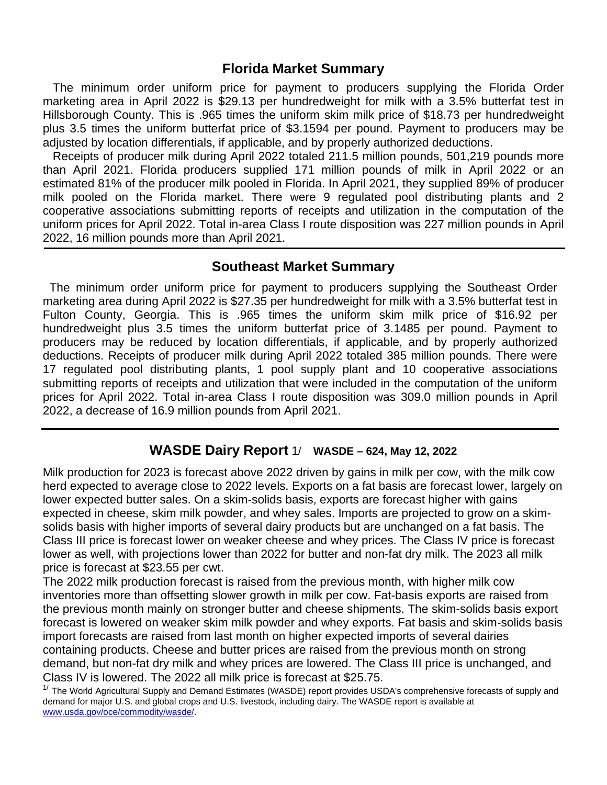## **Florida Market Summary**

 The minimum order uniform price for payment to producers supplying the Florida Order marketing area in April 2022 is \$29.13 per hundredweight for milk with a 3.5% butterfat test in Hillsborough County. This is .965 times the uniform skim milk price of \$18.73 per hundredweight plus 3.5 times the uniform butterfat price of \$3.1594 per pound. Payment to producers may be adjusted by location differentials, if applicable, and by properly authorized deductions.

Receipts of producer milk during April 2022 totaled 211.5 million pounds, 501,219 pounds more than April 2021. Florida producers supplied 171 million pounds of milk in April 2022 or an estimated 81% of the producer milk pooled in Florida. In April 2021, they supplied 89% of producer milk pooled on the Florida market. There were 9 regulated pool distributing plants and 2 cooperative associations submitting reports of receipts and utilization in the computation of the uniform prices for April 2022. Total in-area Class I route disposition was 227 million pounds in April 2022, 16 million pounds more than April 2021.

## **Southeast Market Summary**

 The minimum order uniform price for payment to producers supplying the Southeast Order marketing area during April 2022 is \$27.35 per hundredweight for milk with a 3.5% butterfat test in Fulton County, Georgia. This is .965 times the uniform skim milk price of \$16.92 per hundredweight plus 3.5 times the uniform butterfat price of 3.1485 per pound. Payment to producers may be reduced by location differentials, if applicable, and by properly authorized deductions. Receipts of producer milk during April 2022 totaled 385 million pounds. There were 17 regulated pool distributing plants, 1 pool supply plant and 10 cooperative associations submitting reports of receipts and utilization that were included in the computation of the uniform prices for April 2022. Total in-area Class I route disposition was 309.0 million pounds in April 2022, a decrease of 16.9 million pounds from April 2021.

### **WASDE Dairy Report** 1/ **WASDE – 624, May 12, 2022**

Milk production for 2023 is forecast above 2022 driven by gains in milk per cow, with the milk cow herd expected to average close to 2022 levels. Exports on a fat basis are forecast lower, largely on lower expected butter sales. On a skim-solids basis, exports are forecast higher with gains expected in cheese, skim milk powder, and whey sales. Imports are projected to grow on a skimsolids basis with higher imports of several dairy products but are unchanged on a fat basis. The Class III price is forecast lower on weaker cheese and whey prices. The Class IV price is forecast lower as well, with projections lower than 2022 for butter and non-fat dry milk. The 2023 all milk price is forecast at \$23.55 per cwt.

The 2022 milk production forecast is raised from the previous month, with higher milk cow inventories more than offsetting slower growth in milk per cow. Fat-basis exports are raised from the previous month mainly on stronger butter and cheese shipments. The skim-solids basis export forecast is lowered on weaker skim milk powder and whey exports. Fat basis and skim-solids basis import forecasts are raised from last month on higher expected imports of several dairies containing products. Cheese and butter prices are raised from the previous month on strong demand, but non-fat dry milk and whey prices are lowered. The Class III price is unchanged, and Class IV is lowered. The 2022 all milk price is forecast at \$25.75.<br><sup>1/</sup> The World Agricultural Supply and Demand Estimates (WASDE) report provides USDA's comprehensive forecasts of supply and

demand for major U.S. and global crops and U.S. livestock, including dairy. The WASDE report is available at [www.usda.gov/oce/commodity/wasde/.](http://www.usda.gov/oce/commodity/wasde/)